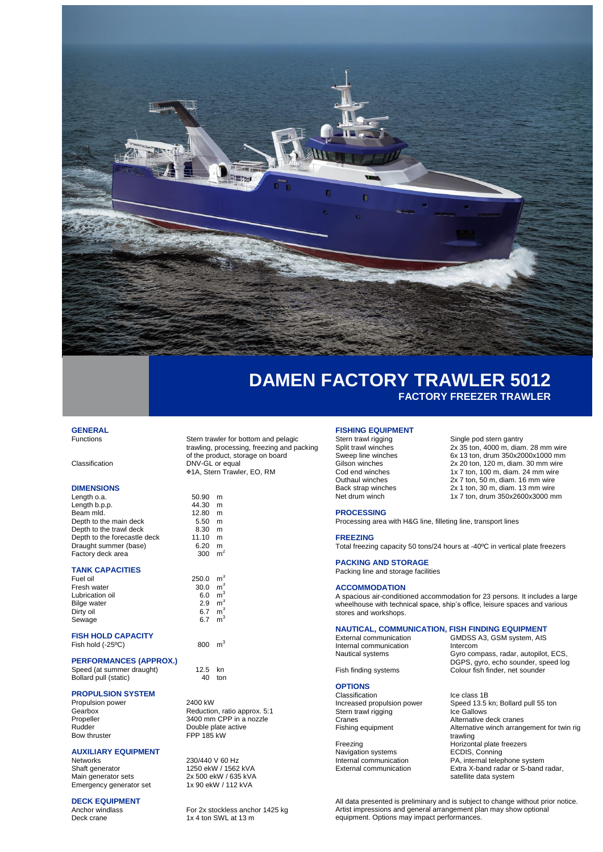

## **DAMEN FACTORY TRAWLER 5012 FACTORY FREEZER TRAWLER**

## **GENERAL**

### **DIMENSIONS**

| Length o.a.                  | 50.90 | m |
|------------------------------|-------|---|
| Length b.p.p.                | 44.30 | m |
| Beam mld.                    | 12.80 | m |
| Depth to the main deck       | 5.50  | m |
| Depth to the trawl deck      | 8.30  | m |
| Depth to the forecastle deck | 11.10 | m |
| Draught summer (base)        | 6.20  | m |
| Factory deck area            | 300   | m |

### **TANK CAPACITIES**

| Fuel oil           | 250.0 | m |
|--------------------|-------|---|
| Fresh water        | 30.0  | m |
| Lubrication oil    | 6.0   | m |
| <b>Bilge water</b> | 2.9   | m |
| Dirty oil          | 67    | m |
| Sewage             | 67    | m |
|                    |       |   |

## **FISH HOLD CAPACITY**

Fish hold  $(-25^{\circ}C)$ 

## **PERFORMANCES (APPROX.)**

### **PROPULSION SYSTEM**

Propulsion power 2400 kW

# **AUXILIARY EQUIPMENT**

Networks 230/440 V 60 Hz<br>Shaft generator 1250 ekW / 1562 Main generator sets 2x 500 ekW / 635 kV/<br>Emergency generator set 1x 90 ekW / 112 kVA Emergency generator set

# **DECK EQUIPMENT**<br>Anchor windlass

Stern trawler for bottom and pelagic trawling, processing, freezing and packing of the product, storage on board Classification DNV-GL or equal 1A, Stern Trawler, EO, RM

| сk | 50.90<br>44.30<br>12.80<br>5.50<br>8.30<br>11.10<br>6.20<br>300 | m<br>m<br>m<br>m<br>m<br>m<br>m<br>m <sup>2</sup>                                                        |  |
|----|-----------------------------------------------------------------|----------------------------------------------------------------------------------------------------------|--|
|    | 250.0<br>30.0<br>6.0<br>2.9<br>6.7<br>6.7                       | m <sup>3</sup><br>m <sup>3</sup><br>m <sup>3</sup><br>m <sup>3</sup><br>m <sup>3</sup><br>m <sup>3</sup> |  |
|    | 800                                                             | m <sup>3</sup>                                                                                           |  |

Speed (at summer draught) 12.5 kn Bollard pull (static) 40 ton

Gearbox **Reduction**, ratio approx. 5:1 Propeller 3400 mm CPP in a nozzle Rudder Double plate active<br>Bow thruster FPP 185 kW Bow thruster FPP 185 kW

1250 ekW / 1562 kVA<br>2x 500 ekW / 635 kVA

Anchor windlass For 2x stockless anchor 1425 kg<br>Deck crane For 2x 4 ton SWL at 13 m 1x 4 ton SWL at 13 m

# **FISHING EQUIPMENT**<br>Stern trawl rigging

Stern trawl rigging<br>
Single pod stern gantry<br>
2x 35 ton. 4000 m. dian Split trawl winches 2x 35 ton, 4000 m, diam. 28 mm wire<br>Sweep line winches 6x 13 ton, drum 350x2000x1000 mm Sweep line winches 6x 13 ton, down, and the state winches 6x 13 ton, drum 350x2000x1000 mm<br>
Gilson winches 6x 13 ton, drum 350x2000 mm wire Gilson winches 2x 20 ton, 120 m, diam. 30 mm wire<br>
Cod end winches 1x 7 ton, 100 m, diam. 24 mm wire Cod end winches 1x 7 ton, 100 m, diam. 24 mm wire<br>Outhaul winches 2x 7 ton, 50 m, diam. 16 mm wire Outhaul winches 2x 7 ton, 50 m, diam. 16 mm wire<br>Back strap winches 2x 1 ton, 30 m, diam. 13 mm wire Back strap winches 2x 1 ton, 30 m, diam. 13 mm wire

Net drum winch 1x 7 ton, drum 350x2600x3000 mm

### **PROCESSING**

Processing area with H&G line, filleting line, transport lines

**FREEZING**

Total freezing capacity 50 tons/24 hours at -40ºC in vertical plate freezers

## **PACKING AND STORAGE**

Packing line and storage facilities

### **ACCOMMODATION**

A spacious air-conditioned accommodation for 23 persons. It includes a large wheelhouse with technical space, ship's office, leisure spaces and various stores and workshops.

## **NAUTICAL, COMMUNICATION, FISH FINDING EQUIPMENT**

Internal communication and intercom<br>
Nautical systems Gyro com

### **OPTIONS**

Classification lce class 1B<br>Increased propulsion power Speed 13.5 I Stern trawl rigging Cranes Cranes Alternative deck cranes<br>
Fishing equipment Alternative winch arranged

Navigation systems<br>Internal communication

External communication GMDSS A3, GSM system, AIS Gyro compass, radar, autopilot, ECS, DGPS, gyro, echo sounder, speed log Fish finding systems Colour fish finder, net sounder

Speed 13.5 kn; Bollard pull 55 ton<br>Ice Gallows Alternative winch arrangement for twin rig trawling Freezing **Freezing** Horizontal plate freezers<br>Navigation systems **FECDIS**, Conning Internal communication<br> **External communication**<br> **External communication**<br> **External communication**<br> **External communication** Extra X-band radar or S-band radar. satellite data system

All data presented is preliminary and is subject to change without prior notice. Artist impressions and general arrangement plan may show optional equipment. Options may impact performances.